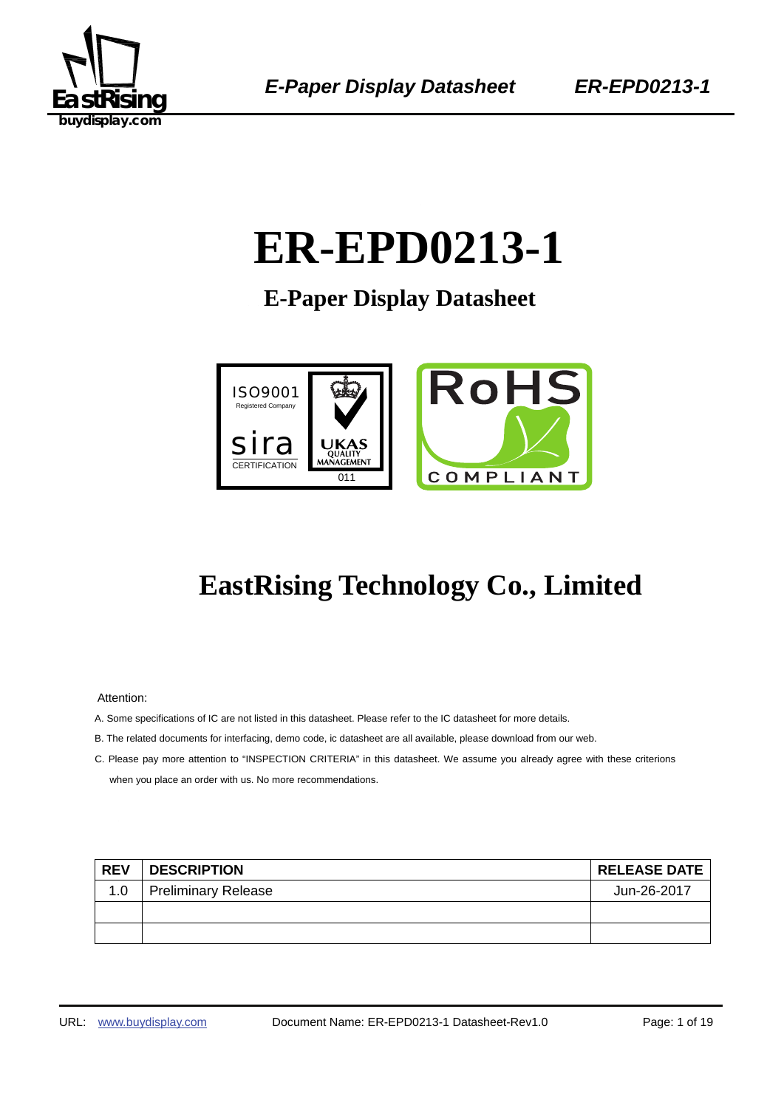

# ER-EPD0213-1

**E-Paper Display Datasheet** 



# **EastRising Technology Co., Limited**

Attention:

- A. Some specifications of IC are not listed in this datasheet. Please refer to the IC datasheet for more details.
- B. The related documents for interfacing, demo code, ic datasheet are all available, please download from our web.
- C. Please pay more attention to "INSPECTION CRITERIA" in this datasheet. We assume you already agree with these criterions when you place an order with us. No more recommendations.

| <b>REV</b> | <b>DESCRIPTION</b>         | <b>RELEASE DATE</b> |
|------------|----------------------------|---------------------|
| 1.0        | <b>Preliminary Release</b> | Jun-26-2017         |
|            |                            |                     |
|            |                            |                     |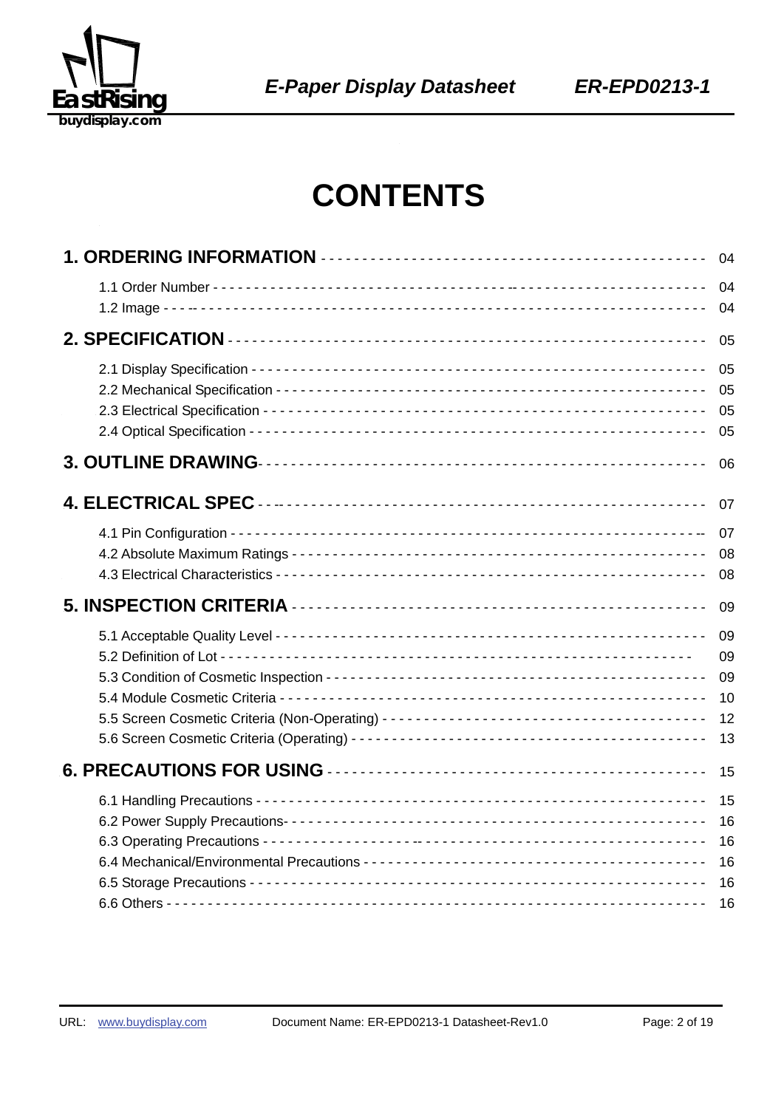

# **CONTENTS**

| 04                               |
|----------------------------------|
| 04<br>04                         |
| 05                               |
| 05<br>05<br>05<br>05             |
| 06                               |
| 07                               |
| 07<br>08<br>08                   |
| 09                               |
| 09<br>09<br>09<br>10<br>12<br>13 |
| 15                               |
| 15<br>16<br>16<br>16<br>16<br>16 |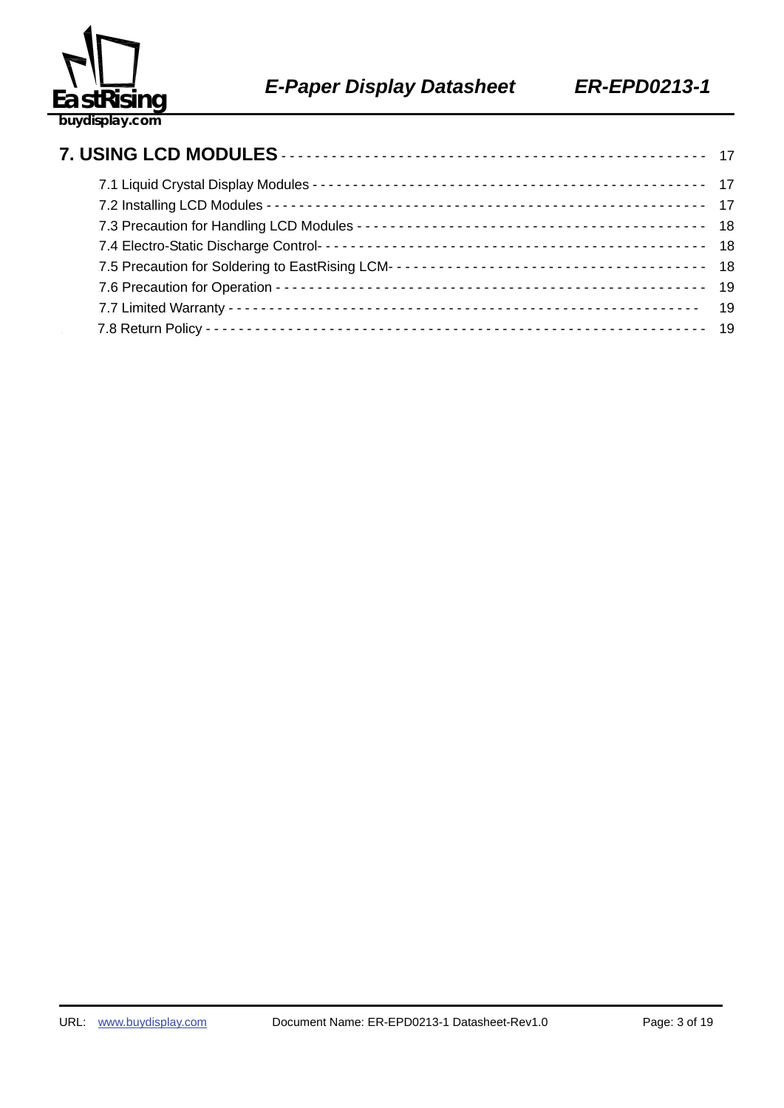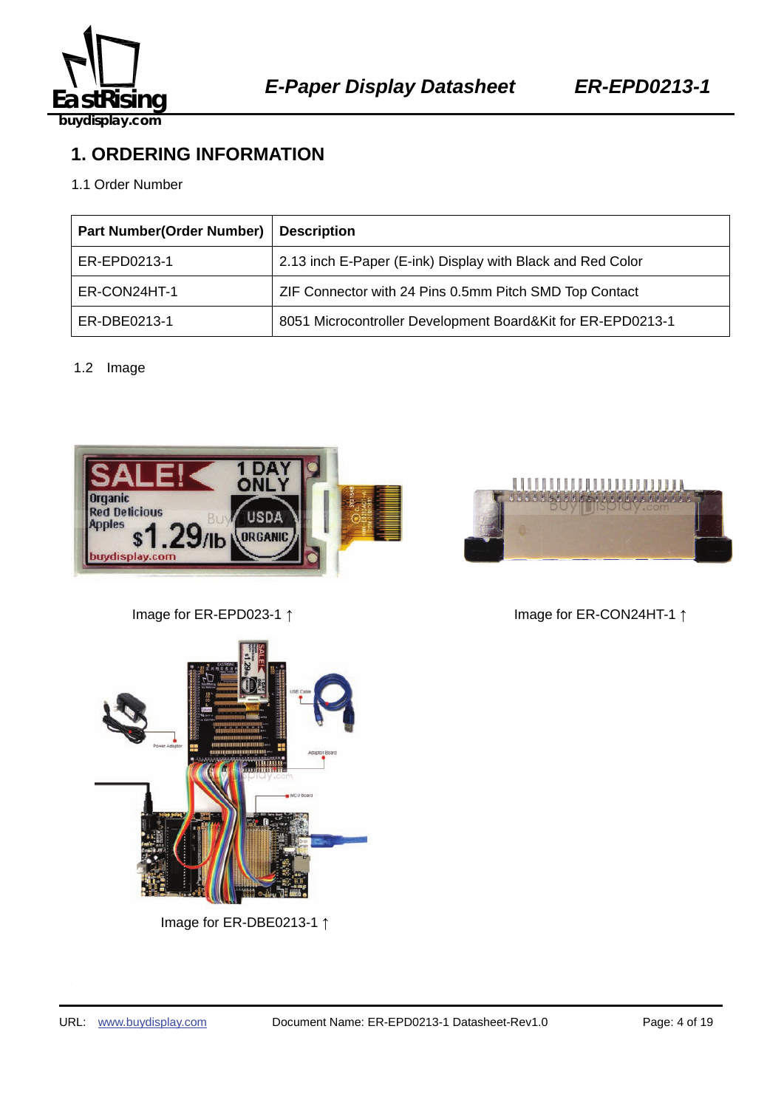

# **1. ORDERING INFORMATION**

#### 1.1 Order Number

| <b>Part Number(Order Number)</b> | <b>Description</b>                                          |
|----------------------------------|-------------------------------------------------------------|
| ER-EPD0213-1                     | 2.13 inch E-Paper (E-ink) Display with Black and Red Color  |
| ER-CON24HT-1                     | ZIF Connector with 24 Pins 0.5mm Pitch SMD Top Contact      |
| ER-DBE0213-1                     | 8051 Microcontroller Development Board&Kit for ER-EPD0213-1 |

#### 1.2 Image





Image for ER-EPD023-1 ↑ Image for ER-CON24HT-1 ↑



Image for ER-DBE0213-1 ↑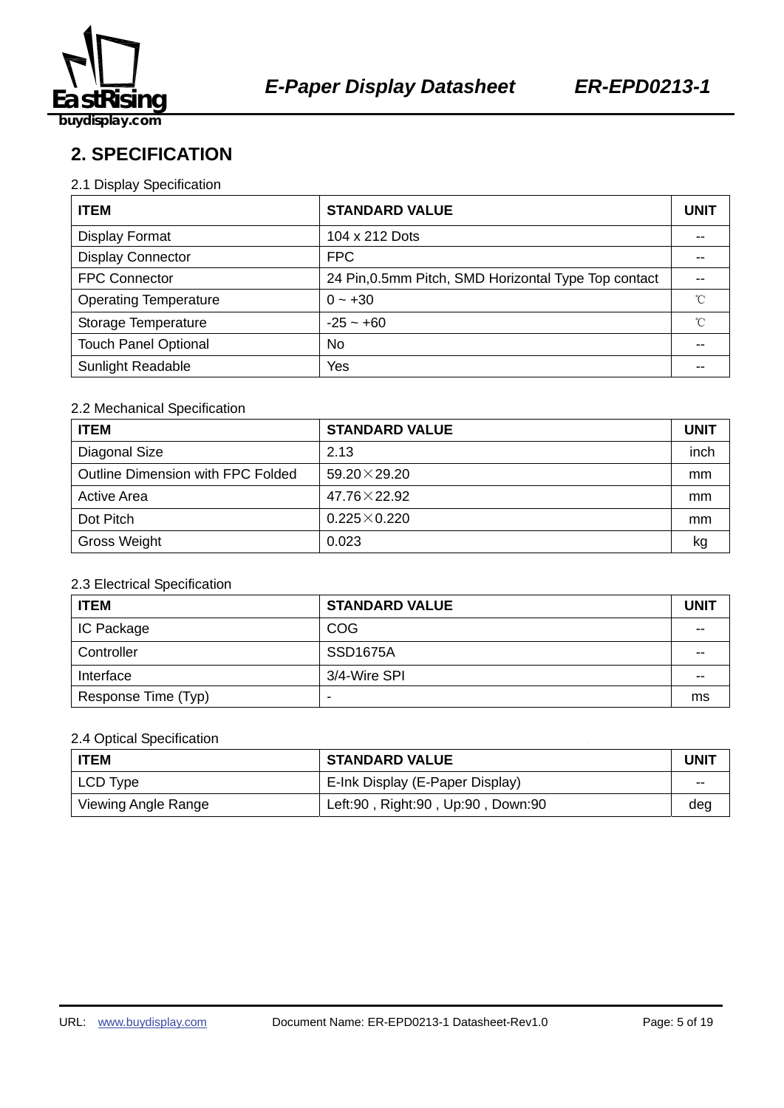

**2. SPECIFICATION** 

#### 2.1 Display Specification

| <b>ITEM</b>                  | <b>STANDARD VALUE</b>                                |              |  |
|------------------------------|------------------------------------------------------|--------------|--|
| <b>Display Format</b>        | 104 x 212 Dots                                       |              |  |
| <b>Display Connector</b>     | <b>FPC</b>                                           | --           |  |
| <b>FPC Connector</b>         | 24 Pin, 0.5mm Pitch, SMD Horizontal Type Top contact |              |  |
| <b>Operating Temperature</b> | $0 - +30$                                            | $^{\circ}$ C |  |
| Storage Temperature          | $-25 - +60$                                          | °C           |  |
| <b>Touch Panel Optional</b>  | No.                                                  |              |  |
| <b>Sunlight Readable</b>     | Yes                                                  |              |  |

#### 2.2 Mechanical Specification

| <b>ITEM</b>                       | <b>STANDARD VALUE</b> | <b>UNIT</b> |
|-----------------------------------|-----------------------|-------------|
| Diagonal Size                     | 2.13                  | inch        |
| Outline Dimension with FPC Folded | $59.20 \times 29.20$  | mm          |
| <b>Active Area</b>                | $47.76 \times 22.92$  | mm          |
| Dot Pitch                         | $0.225 \times 0.220$  | mm          |
| <b>Gross Weight</b>               | 0.023                 | kg          |

#### 2.3 Electrical Specification

| <b>ITEM</b>         | <b>STANDARD VALUE</b> | <b>UNIT</b> |
|---------------------|-----------------------|-------------|
| IC Package          | <b>COG</b>            | --          |
| Controller          | <b>SSD1675A</b>       | --          |
| Interface           | 3/4-Wire SPI          | --          |
| Response Time (Typ) | -                     | ms          |

#### 2.4 Optical Specification

| l ITEM              | <b>STANDARD VALUE</b>             | <b>UNIT</b> |
|---------------------|-----------------------------------|-------------|
| LCD Type            | E-Ink Display (E-Paper Display)   | $- -$       |
| Viewing Angle Range | Left:90, Right:90, Up:90, Down:90 | deg         |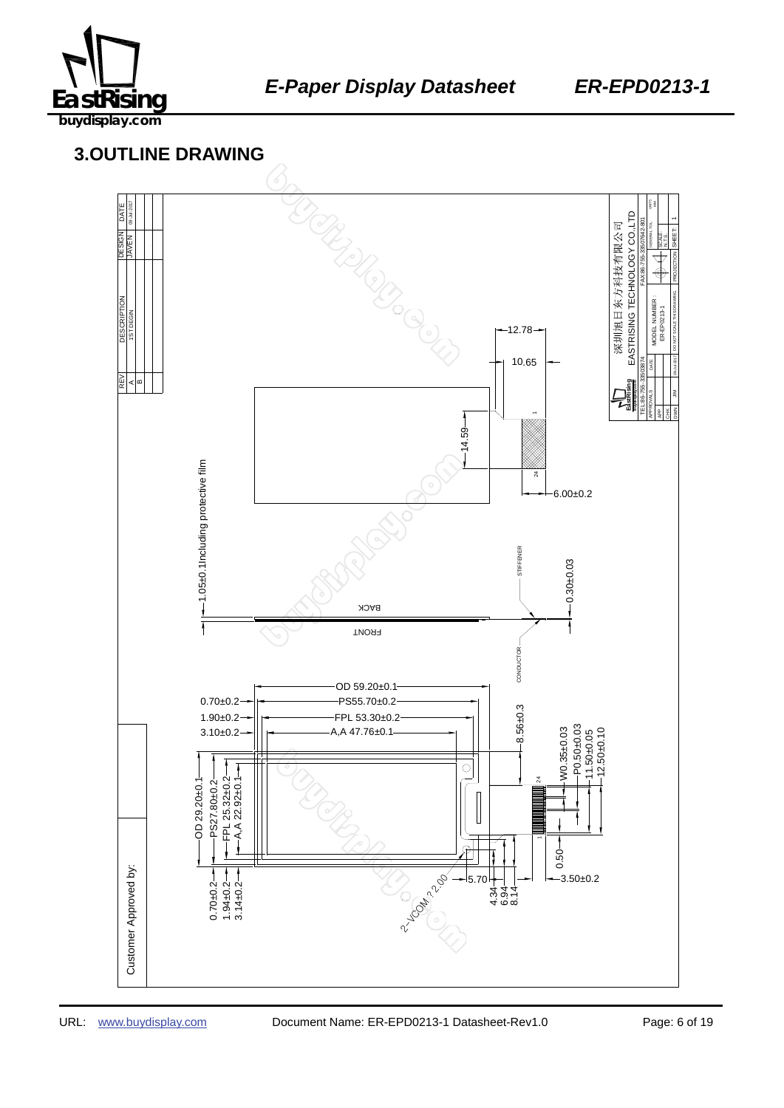

# 459B137645 **3.OUTLINE DRAWING**

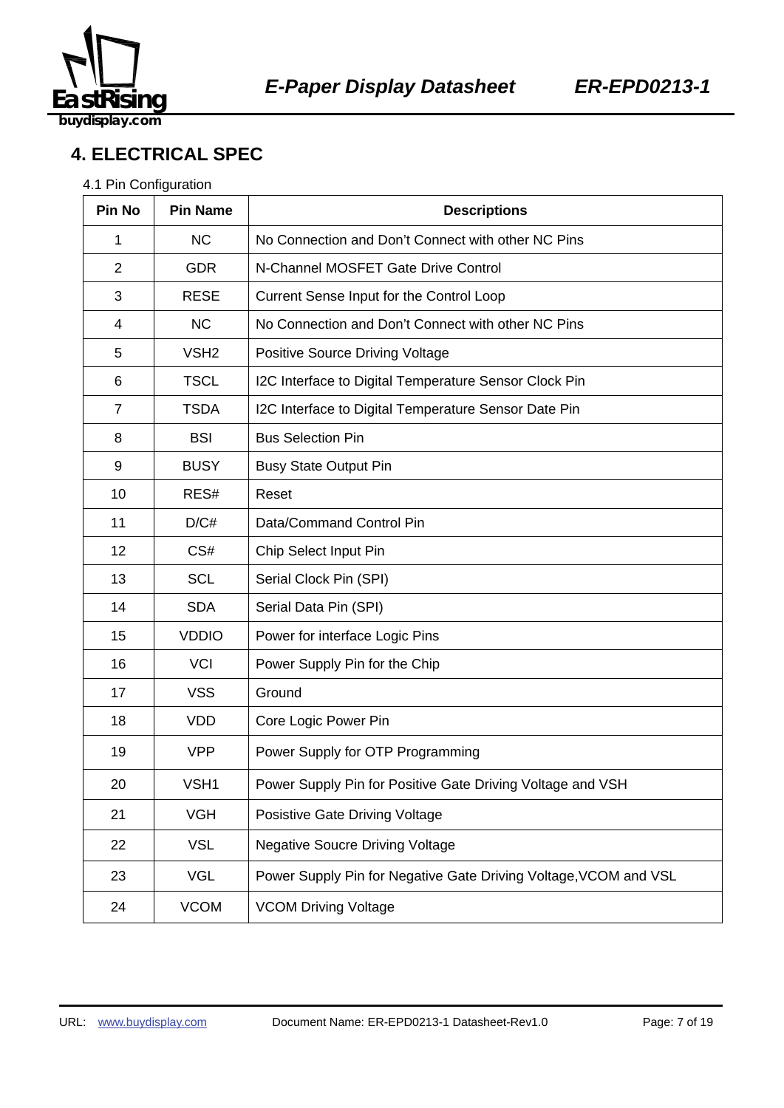

# **4. ELECTRICAL SPEC**

#### 4.1 Pin Configuration

| Pin No         | <b>Pin Name</b>  | <b>Descriptions</b>                                              |  |  |
|----------------|------------------|------------------------------------------------------------------|--|--|
| 1              | <b>NC</b>        | No Connection and Don't Connect with other NC Pins               |  |  |
| 2              | <b>GDR</b>       | N-Channel MOSFET Gate Drive Control                              |  |  |
| 3              | <b>RESE</b>      | Current Sense Input for the Control Loop                         |  |  |
| 4              | <b>NC</b>        | No Connection and Don't Connect with other NC Pins               |  |  |
| 5              | VSH <sub>2</sub> | <b>Positive Source Driving Voltage</b>                           |  |  |
| 6              | <b>TSCL</b>      | I2C Interface to Digital Temperature Sensor Clock Pin            |  |  |
| $\overline{7}$ | <b>TSDA</b>      | I2C Interface to Digital Temperature Sensor Date Pin             |  |  |
| 8              | <b>BSI</b>       | <b>Bus Selection Pin</b>                                         |  |  |
| 9              | <b>BUSY</b>      | <b>Busy State Output Pin</b>                                     |  |  |
| 10             | RES#             | Reset                                                            |  |  |
| 11             | D/C#             | Data/Command Control Pin                                         |  |  |
| 12             | CS#              | Chip Select Input Pin                                            |  |  |
| 13             | <b>SCL</b>       | Serial Clock Pin (SPI)                                           |  |  |
| 14             | <b>SDA</b>       | Serial Data Pin (SPI)                                            |  |  |
| 15             | <b>VDDIO</b>     | Power for interface Logic Pins                                   |  |  |
| 16             | <b>VCI</b>       | Power Supply Pin for the Chip                                    |  |  |
| 17             | <b>VSS</b>       | Ground                                                           |  |  |
| 18             | <b>VDD</b>       | Core Logic Power Pin                                             |  |  |
| 19             | <b>VPP</b>       | Power Supply for OTP Programming                                 |  |  |
| 20             | VSH1             | Power Supply Pin for Positive Gate Driving Voltage and VSH       |  |  |
| 21             | <b>VGH</b>       | Posistive Gate Driving Voltage                                   |  |  |
| 22             | <b>VSL</b>       | <b>Negative Soucre Driving Voltage</b>                           |  |  |
| 23             | <b>VGL</b>       | Power Supply Pin for Negative Gate Driving Voltage, VCOM and VSL |  |  |
| 24             | <b>VCOM</b>      | <b>VCOM Driving Voltage</b>                                      |  |  |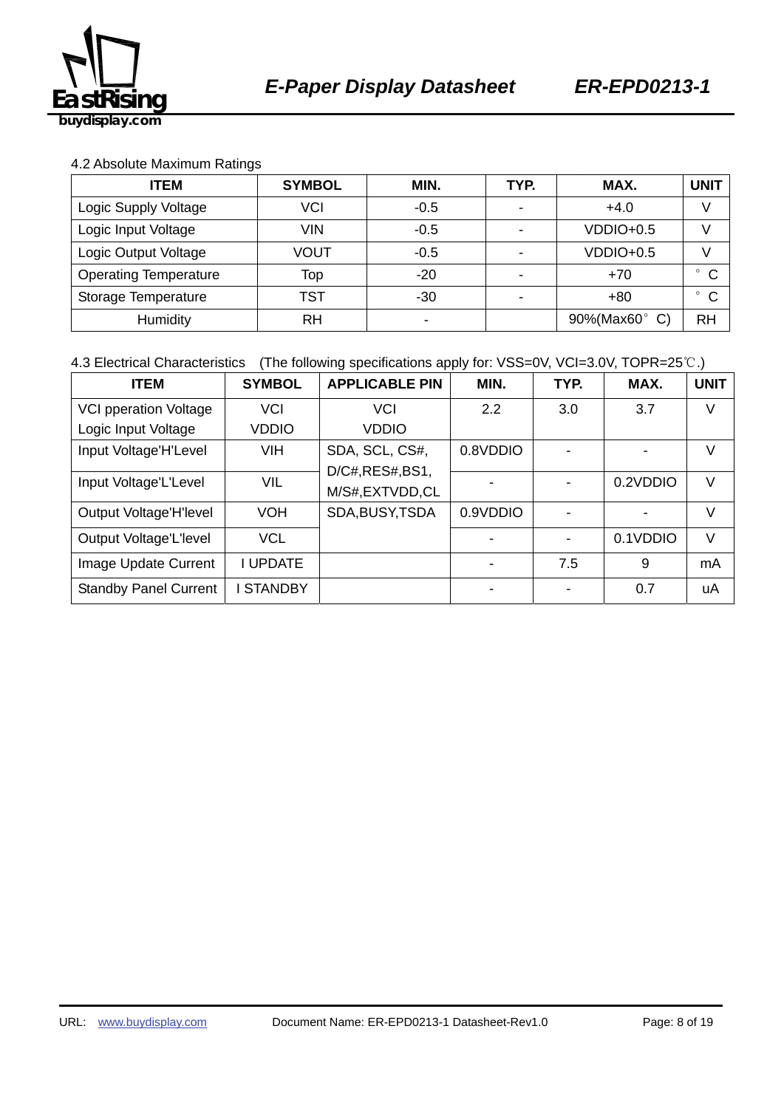

#### 4.2 Absolute Maximum Ratings

| <b>ITEM</b>                  | <b>SYMBOL</b>  | MIN.                     | TYP.                     | MAX.          | <b>UNIT</b>             |
|------------------------------|----------------|--------------------------|--------------------------|---------------|-------------------------|
| VCI<br>Logic Supply Voltage  |                | $-0.5$                   | $\overline{\phantom{0}}$ | $+4.0$        |                         |
| Logic Input Voltage          | <b>VIN</b>     | $-0.5$                   |                          | $VDDIO+0.5$   |                         |
| Logic Output Voltage         | VOUT<br>$-0.5$ |                          | VDDIO+0.5                |               |                         |
| <b>Operating Temperature</b> | Top            | $-20$                    |                          | $+70$         | $^{\circ}$ C            |
| Storage Temperature          | TST            | $-30$                    |                          | $+80$         | $\mathsf{C}$<br>$\circ$ |
| Humidity                     | RH             | $\overline{\phantom{0}}$ |                          | 90%(Max60° C) | <b>RH</b>               |

4.3 Electrical Characteristics (The following specifications apply for: VSS=0V, VCI=3.0V, TOPR=25℃.)

| <b>ITEM</b>                  | <b>SYMBOL</b>    | <b>APPLICABLE PIN</b> | MIN.     | TYP. | MAX.     | <b>UNIT</b> |
|------------------------------|------------------|-----------------------|----------|------|----------|-------------|
| <b>VCI pperation Voltage</b> | <b>VCI</b>       | <b>VCI</b>            | 2.2      | 3.0  | 3.7      | V           |
| Logic Input Voltage          | <b>VDDIO</b>     | <b>VDDIO</b>          |          |      |          |             |
| Input Voltage'H'Level        | VIH              | SDA, SCL, CS#,        | 0.8VDDIO |      |          | V           |
|                              |                  | D/C#, RES#, BS1,      |          |      |          |             |
| Input Voltage'L'Level        | VIL              | M/S#,EXTVDD,CL        |          |      | 0.2VDDIO | V           |
| Output Voltage'H'level       | <b>VOH</b>       | SDA, BUSY, TSDA       | 0.9VDDIO |      |          | V           |
| Output Voltage'L'Ievel       | <b>VCL</b>       |                       |          |      | 0.1VDDIO | V           |
| Image Update Current         | <b>I UPDATE</b>  |                       |          | 7.5  | 9        | mA          |
| <b>Standby Panel Current</b> | <b>I STANDBY</b> |                       |          |      | 0.7      | uA          |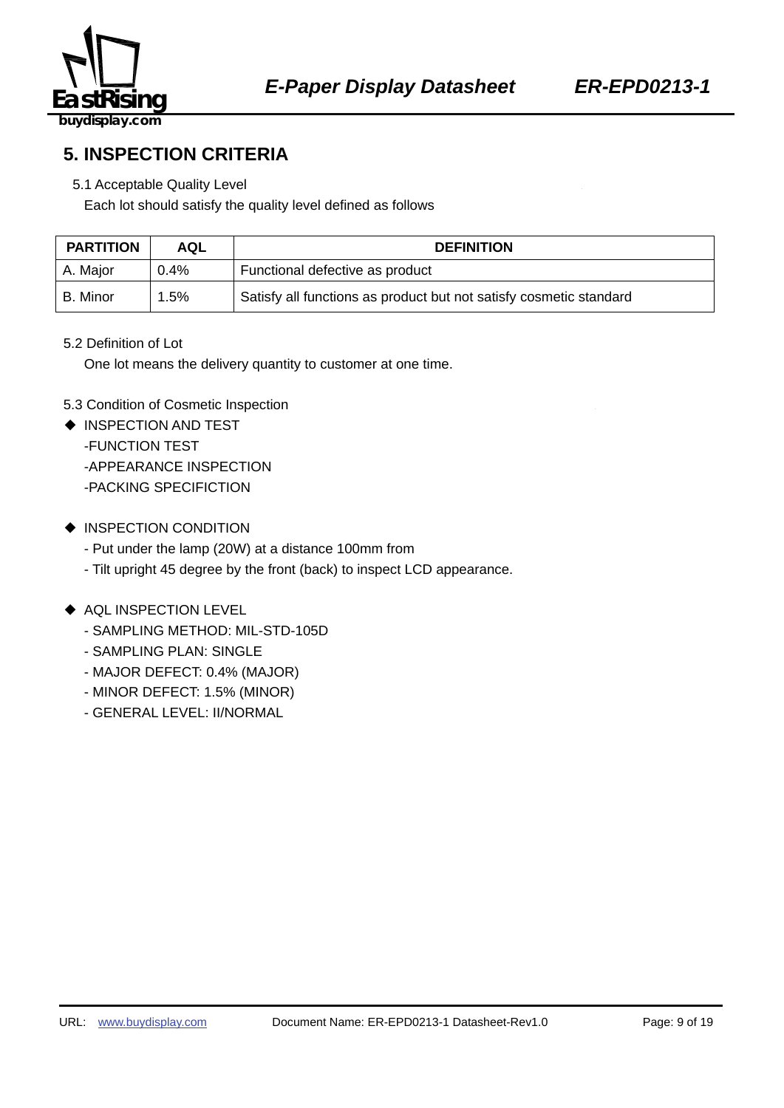

**5. INSPECTION CRITERIA** 

#### 5.1 Acceptable Quality Level

Each lot should satisfy the quality level defined as follows

| <b>PARTITION</b> | AQL     | <b>DEFINITION</b>                                                  |
|------------------|---------|--------------------------------------------------------------------|
| A. Major         | $0.4\%$ | Functional defective as product                                    |
| l B. Minor       | $1.5\%$ | Satisfy all functions as product but not satisfy cosmetic standard |

#### 5.2 Definition of Lot

One lot means the delivery quantity to customer at one time.

#### 5.3 Condition of Cosmetic Inspection

- ◆ INSPECTION AND TEST -FUNCTION TEST -APPEARANCE INSPECTION -PACKING SPECIFICTION
- ◆ INSPECTION CONDITION
	- Put under the lamp (20W) at a distance 100mm from
	- Tilt upright 45 degree by the front (back) to inspect LCD appearance.

#### ◆ AQL INSPECTION LEVEL

- SAMPLING METHOD: MIL-STD-105D
- SAMPLING PLAN: SINGLE
- MAJOR DEFECT: 0.4% (MAJOR)
- MINOR DEFECT: 1.5% (MINOR)
- GENERAL LEVEL: II/NORMAL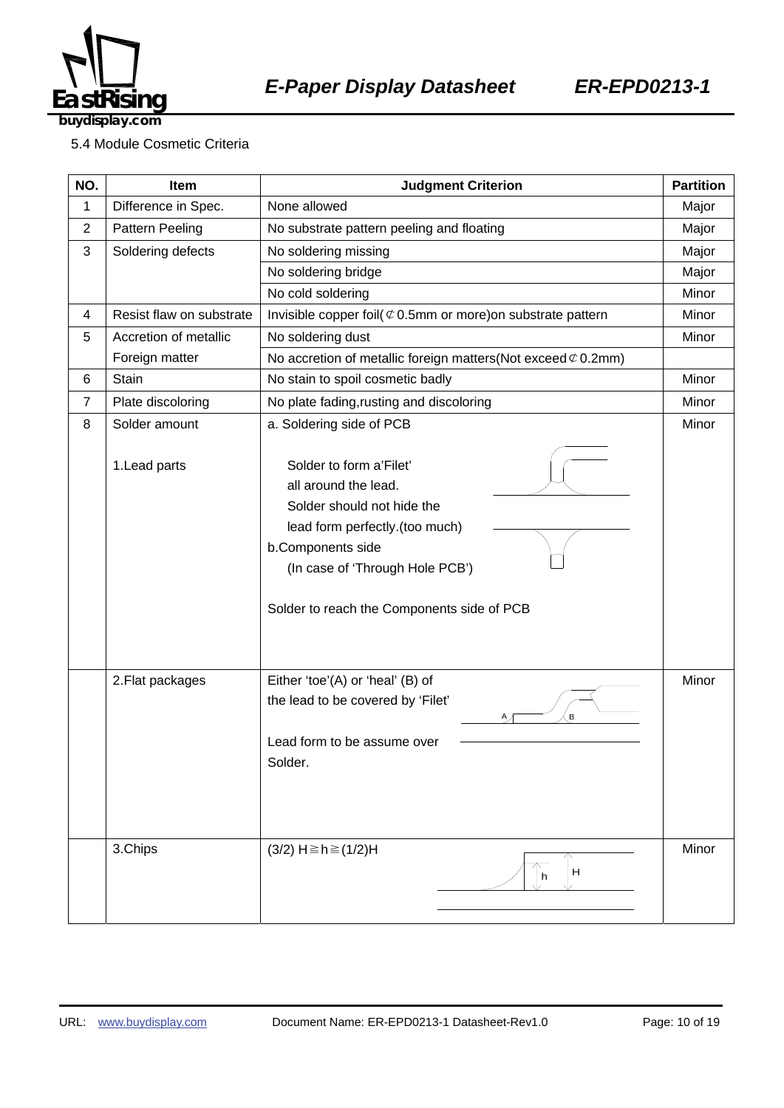

#### 5.4 Module Cosmetic Criteria

| NO.            | Item                     | <b>Judgment Criterion</b>                                                                                                                                                                                             | <b>Partition</b> |
|----------------|--------------------------|-----------------------------------------------------------------------------------------------------------------------------------------------------------------------------------------------------------------------|------------------|
| 1              | Difference in Spec.      | None allowed                                                                                                                                                                                                          | Major            |
| $\overline{c}$ | Pattern Peeling          | No substrate pattern peeling and floating                                                                                                                                                                             | Major            |
| 3              | Soldering defects        | No soldering missing                                                                                                                                                                                                  |                  |
|                |                          | No soldering bridge                                                                                                                                                                                                   | Major            |
|                |                          | No cold soldering                                                                                                                                                                                                     | Minor            |
| 4              | Resist flaw on substrate | Invisible copper foil( $\mathfrak{C}$ 0.5mm or more) on substrate pattern                                                                                                                                             | Minor            |
| 5              | Accretion of metallic    | No soldering dust                                                                                                                                                                                                     | Minor            |
|                | Foreign matter           | No accretion of metallic foreign matters(Not exceed $\mathcal{C}$ 0.2mm)                                                                                                                                              |                  |
| 6              | Stain                    | No stain to spoil cosmetic badly                                                                                                                                                                                      | Minor            |
| $\overline{7}$ | Plate discoloring        | No plate fading, rusting and discoloring                                                                                                                                                                              | Minor            |
| 8              | Solder amount            | a. Soldering side of PCB                                                                                                                                                                                              | Minor            |
|                | 1. Lead parts            | Solder to form a'Filet'<br>all around the lead.<br>Solder should not hide the<br>lead form perfectly.(too much)<br>b.Components side<br>(In case of 'Through Hole PCB')<br>Solder to reach the Components side of PCB |                  |
|                | 2. Flat packages         | Either 'toe'(A) or 'heal' (B) of<br>the lead to be covered by 'Filet'<br>В<br>Α,<br>Lead form to be assume over<br>Solder.                                                                                            | Minor            |
|                | 3.Chips                  | $(3/2)$ H ≥ h ≥ $(1/2)$ H<br>H<br>h                                                                                                                                                                                   | Minor            |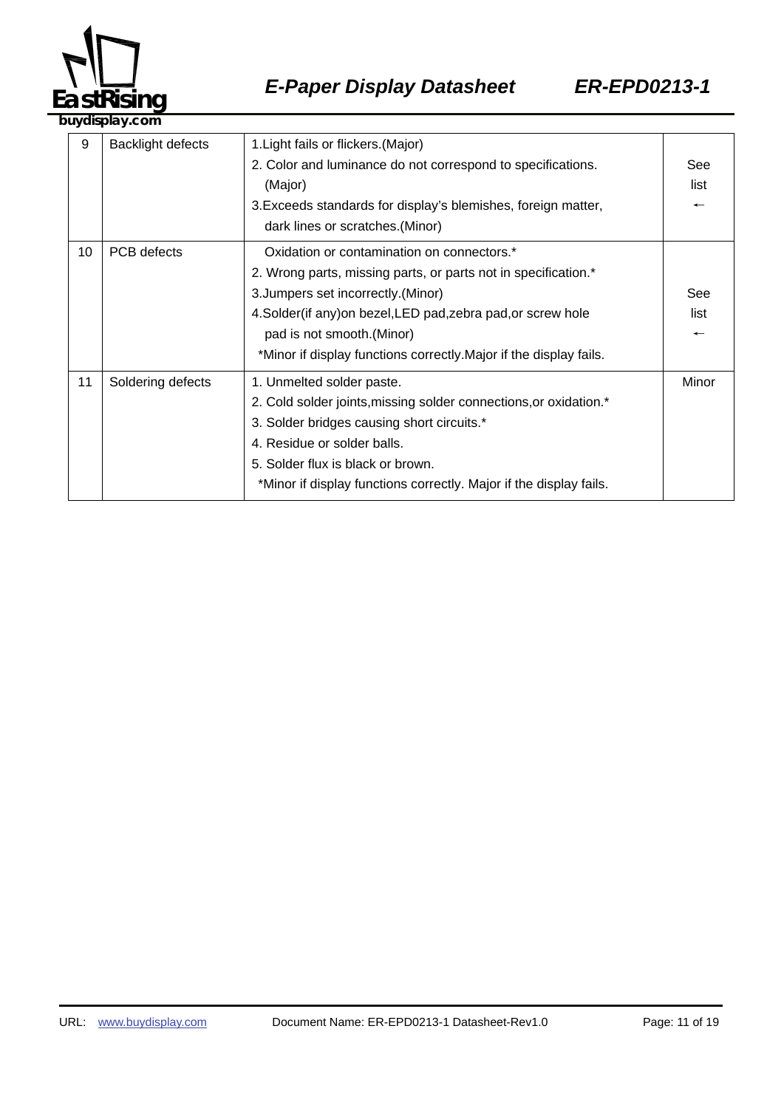

| 9  | <b>Backlight defects</b> | 1. Light fails or flickers. (Major)<br>2. Color and luminance do not correspond to specifications.<br>(Major)<br>3. Exceeds standards for display's blemishes, foreign matter,<br>dark lines or scratches. (Minor)                                                                                                       | See<br>list                             |  |
|----|--------------------------|--------------------------------------------------------------------------------------------------------------------------------------------------------------------------------------------------------------------------------------------------------------------------------------------------------------------------|-----------------------------------------|--|
| 10 | PCB defects              | Oxidation or contamination on connectors.*<br>2. Wrong parts, missing parts, or parts not in specification.*<br>3. Jumpers set incorrectly. (Minor)<br>4. Solder(if any) on bezel, LED pad, zebra pad, or screw hole<br>pad is not smooth. (Minor)<br>*Minor if display functions correctly. Major if the display fails. | See<br>list<br>$\overline{\phantom{m}}$ |  |
| 11 | Soldering defects        | 1. Unmelted solder paste.<br>2. Cold solder joints, missing solder connections, or oxidation.*<br>3. Solder bridges causing short circuits.*<br>4. Residue or solder balls.<br>5. Solder flux is black or brown.<br>*Minor if display functions correctly. Major if the display fails.                                   | Minor                                   |  |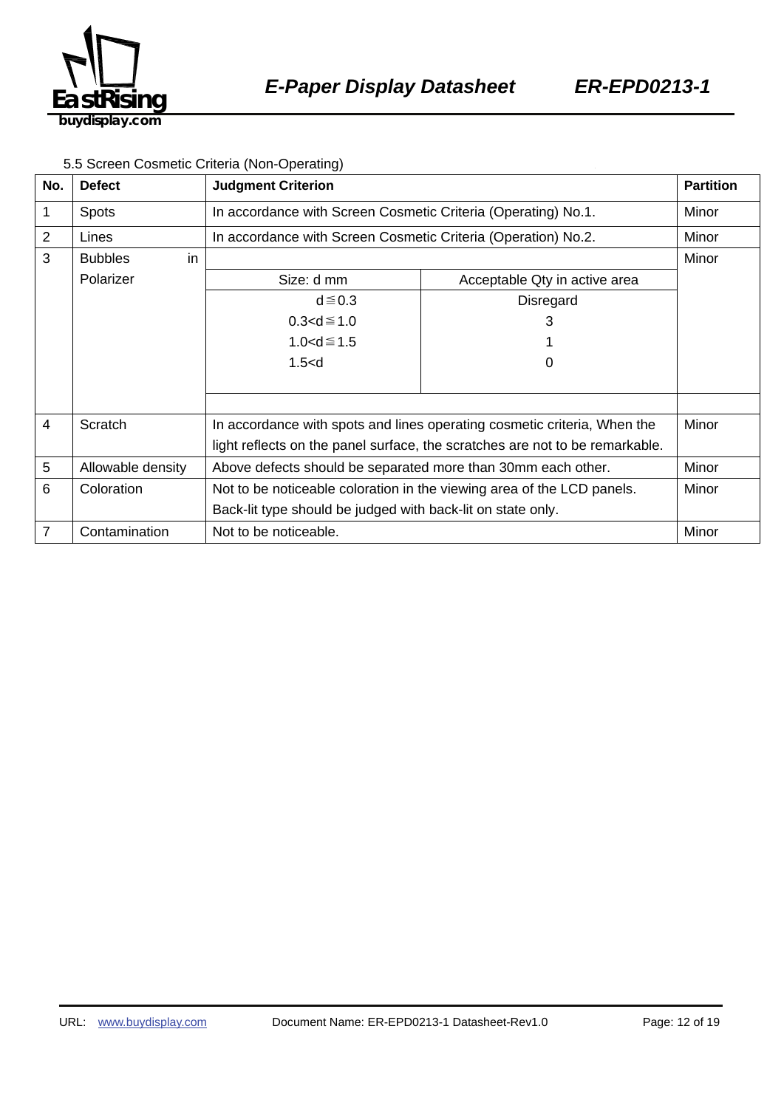

#### 5.5 Screen Cosmetic Criteria (Non-Operating)

| No.            | <b>Defect</b>        | <b>Judgment Criterion</b>                                                    |                               | <b>Partition</b> |
|----------------|----------------------|------------------------------------------------------------------------------|-------------------------------|------------------|
| 1              | <b>Spots</b>         | In accordance with Screen Cosmetic Criteria (Operating) No.1.                |                               | Minor            |
| $\overline{2}$ | Lines                | In accordance with Screen Cosmetic Criteria (Operation) No.2.                |                               | Minor            |
| 3              | in<br><b>Bubbles</b> |                                                                              |                               | Minor            |
|                | Polarizer            | Size: d mm                                                                   | Acceptable Qty in active area |                  |
|                |                      | $d \leq 0.3$                                                                 | Disregard                     |                  |
|                |                      | $0.3 < d \le 1.0$                                                            | 3                             |                  |
|                |                      | $1.0 < d \le 1.5$                                                            |                               |                  |
|                |                      | 1.5< d                                                                       | O                             |                  |
|                |                      |                                                                              |                               |                  |
|                |                      |                                                                              |                               |                  |
| 4              | Scratch              | In accordance with spots and lines operating cosmetic criteria, When the     |                               | Minor            |
|                |                      | light reflects on the panel surface, the scratches are not to be remarkable. |                               |                  |
| 5              | Allowable density    | Above defects should be separated more than 30mm each other.                 |                               | Minor            |
| 6              | Coloration           | Not to be noticeable coloration in the viewing area of the LCD panels.       |                               | Minor            |
|                |                      | Back-lit type should be judged with back-lit on state only.                  |                               |                  |
| 7              | Contamination        | Not to be noticeable.                                                        |                               | Minor            |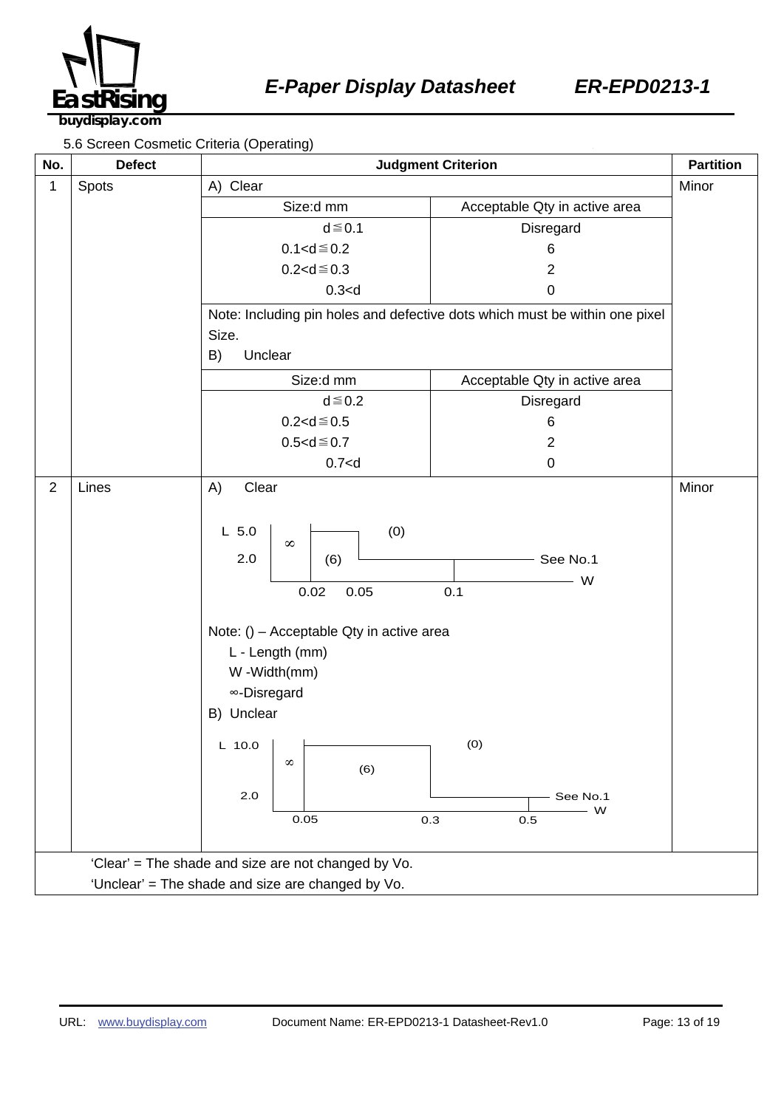

5.6 Screen Cosmetic Criteria (Operating)

| No.<br><b>Defect</b>                                | $1 - 2$<br><b>Judgment Criterion</b>                                                                                                                                                                                     |                                                                             | <b>Partition</b> |
|-----------------------------------------------------|--------------------------------------------------------------------------------------------------------------------------------------------------------------------------------------------------------------------------|-----------------------------------------------------------------------------|------------------|
| Spots<br>1                                          | A) Clear                                                                                                                                                                                                                 |                                                                             | Minor            |
|                                                     | Size:d mm                                                                                                                                                                                                                | Acceptable Qty in active area                                               |                  |
|                                                     | $d \leq 0.1$                                                                                                                                                                                                             | Disregard                                                                   |                  |
|                                                     | $0.1 < d \le 0.2$                                                                                                                                                                                                        | 6                                                                           |                  |
|                                                     | $0.2 < d \le 0.3$                                                                                                                                                                                                        | $\overline{2}$                                                              |                  |
|                                                     | 0.3 < d                                                                                                                                                                                                                  | $\pmb{0}$                                                                   |                  |
|                                                     | Size.                                                                                                                                                                                                                    | Note: Including pin holes and defective dots which must be within one pixel |                  |
|                                                     | B)<br>Unclear                                                                                                                                                                                                            |                                                                             |                  |
|                                                     |                                                                                                                                                                                                                          |                                                                             |                  |
|                                                     | Size:d mm<br>$d \leq 0.2$                                                                                                                                                                                                | Acceptable Qty in active area                                               |                  |
|                                                     | $0.2 < d \le 0.5$                                                                                                                                                                                                        | Disregard<br>6                                                              |                  |
|                                                     | $0.5 < d \le 0.7$                                                                                                                                                                                                        | $\overline{2}$                                                              |                  |
|                                                     | 0.7 < d                                                                                                                                                                                                                  | $\pmb{0}$                                                                   |                  |
| $\overline{2}$<br>Lines                             | A)<br>Clear                                                                                                                                                                                                              |                                                                             | Minor            |
|                                                     | (0)<br>$L$ 5.0<br>$\infty$<br>2.0<br>(6)<br>0.02<br>0.05<br>Note: () - Acceptable Qty in active area<br>L - Length (mm)<br>W-Width(mm)<br>∞-Disregard<br>B) Unclear<br>$L$ 10.0<br>$\infty$<br>(6)<br>2.0<br>0.05<br>0.3 | See No.1<br>W<br>0.1<br>(0)<br>See No.1<br>W<br>0.5                         |                  |
| 'Clear' = The shade and size are not changed by Vo. |                                                                                                                                                                                                                          |                                                                             |                  |
| 'Unclear' = The shade and size are changed by Vo.   |                                                                                                                                                                                                                          |                                                                             |                  |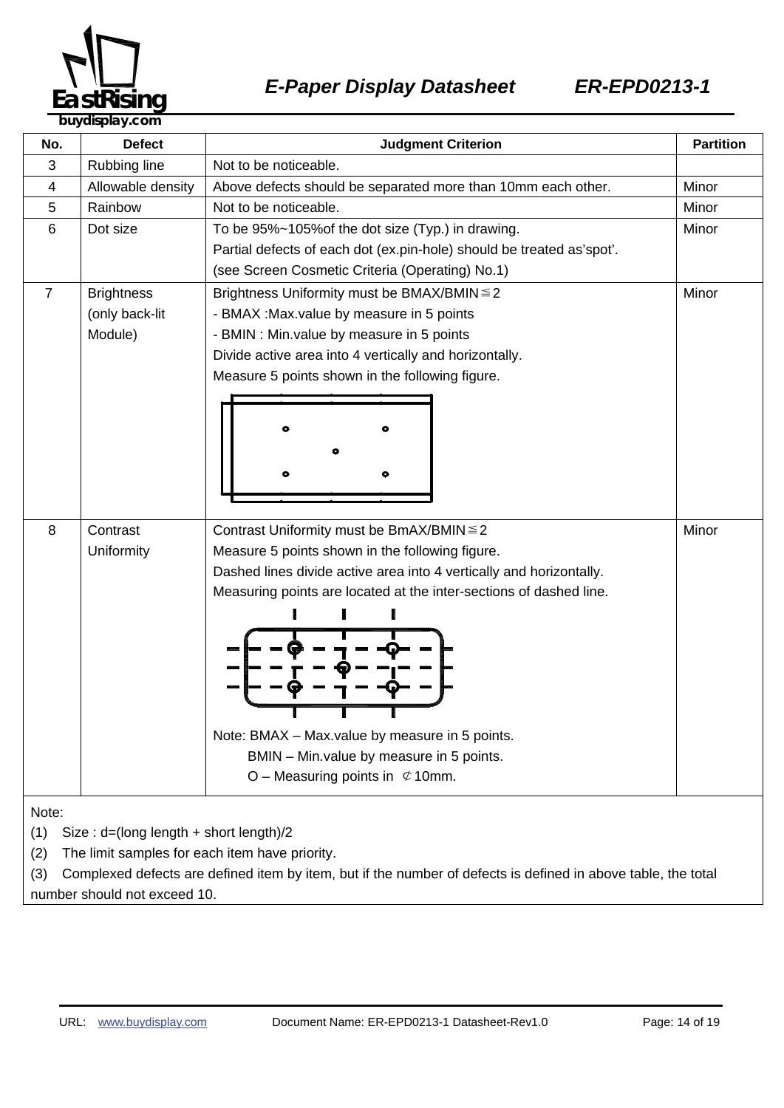

| No.                                                                                                                  | <b>Defect</b>                                  | <b>Judgment Criterion</b>                                             | <b>Partition</b> |  |
|----------------------------------------------------------------------------------------------------------------------|------------------------------------------------|-----------------------------------------------------------------------|------------------|--|
| 3                                                                                                                    | Rubbing line                                   | Not to be noticeable.                                                 |                  |  |
| 4                                                                                                                    | Allowable density                              | Above defects should be separated more than 10mm each other.          | Minor            |  |
| 5                                                                                                                    | Rainbow                                        | Not to be noticeable.                                                 | Minor            |  |
| 6                                                                                                                    | Dot size                                       | To be 95%~105% of the dot size (Typ.) in drawing.                     | Minor            |  |
|                                                                                                                      |                                                | Partial defects of each dot (ex.pin-hole) should be treated as'spot'. |                  |  |
|                                                                                                                      |                                                | (see Screen Cosmetic Criteria (Operating) No.1)                       |                  |  |
| $\overline{7}$                                                                                                       | <b>Brightness</b>                              | Minor<br>Brightness Uniformity must be BMAX/BMIN ≤ 2                  |                  |  |
|                                                                                                                      | (only back-lit                                 | - BMAX : Max value by measure in 5 points                             |                  |  |
|                                                                                                                      | Module)                                        | - BMIN : Min.value by measure in 5 points                             |                  |  |
|                                                                                                                      |                                                | Divide active area into 4 vertically and horizontally.                |                  |  |
|                                                                                                                      |                                                | Measure 5 points shown in the following figure.                       |                  |  |
|                                                                                                                      |                                                |                                                                       |                  |  |
|                                                                                                                      |                                                |                                                                       |                  |  |
|                                                                                                                      |                                                |                                                                       |                  |  |
|                                                                                                                      |                                                |                                                                       |                  |  |
|                                                                                                                      |                                                | ۰                                                                     |                  |  |
|                                                                                                                      |                                                |                                                                       |                  |  |
| 8                                                                                                                    | Contrast                                       | Minor<br>Contrast Uniformity must be BmAX/BMIN ≤ 2                    |                  |  |
|                                                                                                                      | Uniformity                                     | Measure 5 points shown in the following figure.                       |                  |  |
|                                                                                                                      |                                                | Dashed lines divide active area into 4 vertically and horizontally.   |                  |  |
|                                                                                                                      |                                                | Measuring points are located at the inter-sections of dashed line.    |                  |  |
|                                                                                                                      |                                                |                                                                       |                  |  |
|                                                                                                                      |                                                |                                                                       |                  |  |
|                                                                                                                      |                                                |                                                                       |                  |  |
|                                                                                                                      |                                                |                                                                       |                  |  |
|                                                                                                                      |                                                |                                                                       |                  |  |
|                                                                                                                      |                                                |                                                                       |                  |  |
|                                                                                                                      |                                                | Note: BMAX - Max.value by measure in 5 points.                        |                  |  |
|                                                                                                                      |                                                | BMIN - Min. value by measure in 5 points.                             |                  |  |
|                                                                                                                      |                                                | O – Measuring points in $\mathfrak{C}$ 10mm.                          |                  |  |
|                                                                                                                      |                                                |                                                                       |                  |  |
| Note:                                                                                                                |                                                |                                                                       |                  |  |
| (1)<br>Size: $d=(long length + short length)/2$                                                                      |                                                |                                                                       |                  |  |
| (2)                                                                                                                  | The limit samples for each item have priority. |                                                                       |                  |  |
| Complexed defects are defined item by item, but if the number of defects is defined in above table, the total<br>(3) |                                                |                                                                       |                  |  |

number should not exceed 10.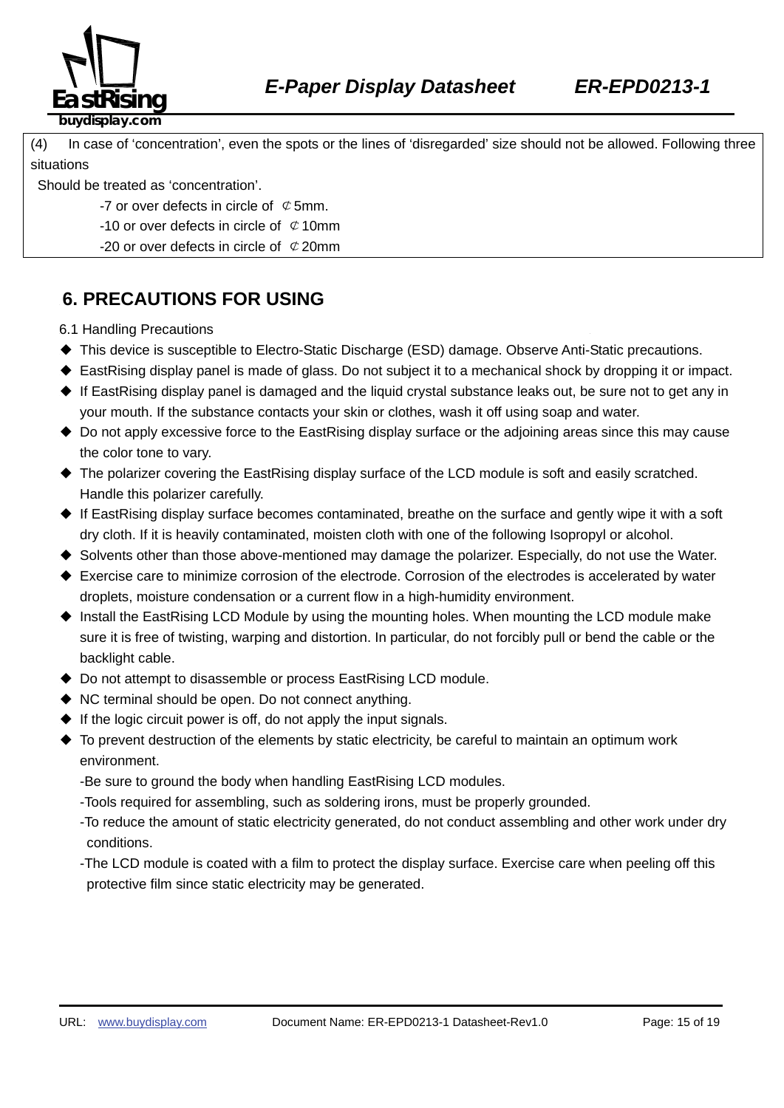

#### (4) In case of 'concentration', even the spots or the lines of 'disregarded' size should not be allowed. Following three situations

Should be treated as 'concentration'.

- -7 or over defects in circle of  $\mathcal Q$  5mm.
- -10 or over defects in circle of  $\mathcal Q$  10mm
- -20 or over defects in circle of  $\mathcal{C}$  20mm

### **6. PRECAUTIONS FOR USING**

6.1 Handling Precautions

- ◆ This device is susceptible to Electro-Static Discharge (ESD) damage. Observe Anti-Static precautions.
- ◆ EastRising display panel is made of glass. Do not subject it to a mechanical shock by dropping it or impact.
- ◆ If EastRising display panel is damaged and the liquid crystal substance leaks out, be sure not to get any in your mouth. If the substance contacts your skin or clothes, wash it off using soap and water.
- ◆ Do not apply excessive force to the EastRising display surface or the adjoining areas since this may cause the color tone to vary.
- ◆ The polarizer covering the EastRising display surface of the LCD module is soft and easily scratched. Handle this polarizer carefully.
- ◆ If EastRising display surface becomes contaminated, breathe on the surface and gently wipe it with a soft dry cloth. If it is heavily contaminated, moisten cloth with one of the following Isopropyl or alcohol.
- ◆ Solvents other than those above-mentioned may damage the polarizer. Especially, do not use the Water.
- ◆ Exercise care to minimize corrosion of the electrode. Corrosion of the electrodes is accelerated by water droplets, moisture condensation or a current flow in a high-humidity environment.
- ◆ Install the EastRising LCD Module by using the mounting holes. When mounting the LCD module make sure it is free of twisting, warping and distortion. In particular, do not forcibly pull or bend the cable or the backlight cable.
- ◆ Do not attempt to disassemble or process EastRising LCD module.
- ◆ NC terminal should be open. Do not connect anything.
- $\blacklozenge$  If the logic circuit power is off, do not apply the input signals.
- ◆ To prevent destruction of the elements by static electricity, be careful to maintain an optimum work environment.
	- -Be sure to ground the body when handling EastRising LCD modules.
	- -Tools required for assembling, such as soldering irons, must be properly grounded.
	- -To reduce the amount of static electricity generated, do not conduct assembling and other work under dry conditions.
	- -The LCD module is coated with a film to protect the display surface. Exercise care when peeling off this protective film since static electricity may be generated.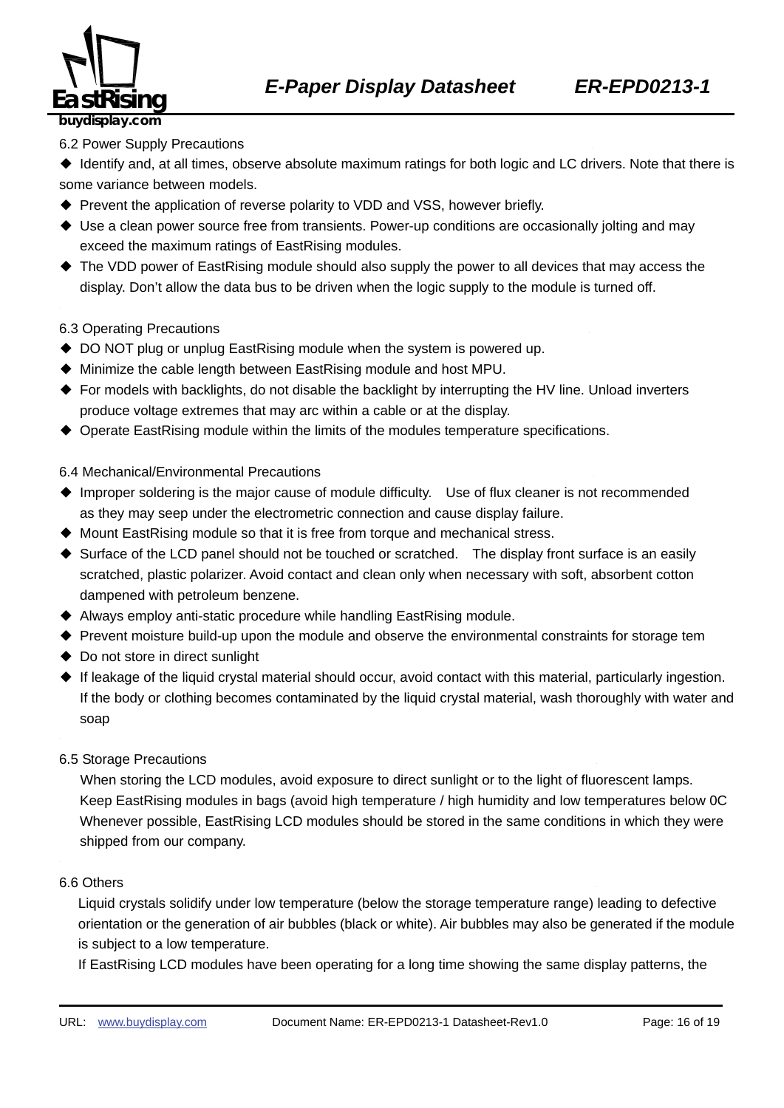

#### 6.2 Power Supply Precautions

◆ Identify and, at all times, observe absolute maximum ratings for both logic and LC drivers. Note that there is some variance between models.

- ◆ Prevent the application of reverse polarity to VDD and VSS, however briefly.
- ◆ Use a clean power source free from transients. Power-up conditions are occasionally jolting and may exceed the maximum ratings of EastRising modules.
- ◆ The VDD power of EastRising module should also supply the power to all devices that may access the display. Don't allow the data bus to be driven when the logic supply to the module is turned off.

#### 6.3 Operating Precautions

- ◆ DO NOT plug or unplug EastRising module when the system is powered up.
- ◆ Minimize the cable length between EastRising module and host MPU.
- ◆ For models with backlights, do not disable the backlight by interrupting the HV line. Unload inverters produce voltage extremes that may arc within a cable or at the display.
- ◆ Operate EastRising module within the limits of the modules temperature specifications.

#### 6.4 Mechanical/Environmental Precautions

- ◆ Improper soldering is the major cause of module difficulty. Use of flux cleaner is not recommended as they may seep under the electrometric connection and cause display failure.
- ◆ Mount EastRising module so that it is free from torque and mechanical stress.
- ◆ Surface of the LCD panel should not be touched or scratched. The display front surface is an easily scratched, plastic polarizer. Avoid contact and clean only when necessary with soft, absorbent cotton dampened with petroleum benzene.
- ◆ Always employ anti-static procedure while handling EastRising module.
- ◆ Prevent moisture build-up upon the module and observe the environmental constraints for storage tem
- ◆ Do not store in direct sunlight
- ◆ If leakage of the liquid crystal material should occur, avoid contact with this material, particularly ingestion. If the body or clothing becomes contaminated by the liquid crystal material, wash thoroughly with water and soap
- 6.5 Storage Precautions

When storing the LCD modules, avoid exposure to direct sunlight or to the light of fluorescent lamps. Keep EastRising modules in bags (avoid high temperature / high humidity and low temperatures below 0C Whenever possible, EastRising LCD modules should be stored in the same conditions in which they were shipped from our company.

#### 6.6 Others <sup>H</sup> <sup>H</sup>

Liquid crystals solidify under low temperature (below the storage temperature range) leading to defective orientation or the generation of air bubbles (black or white). Air bubbles may also be generated if the module is subject to a low temperature.

If EastRising LCD modules have been operating for a long time showing the same display patterns, the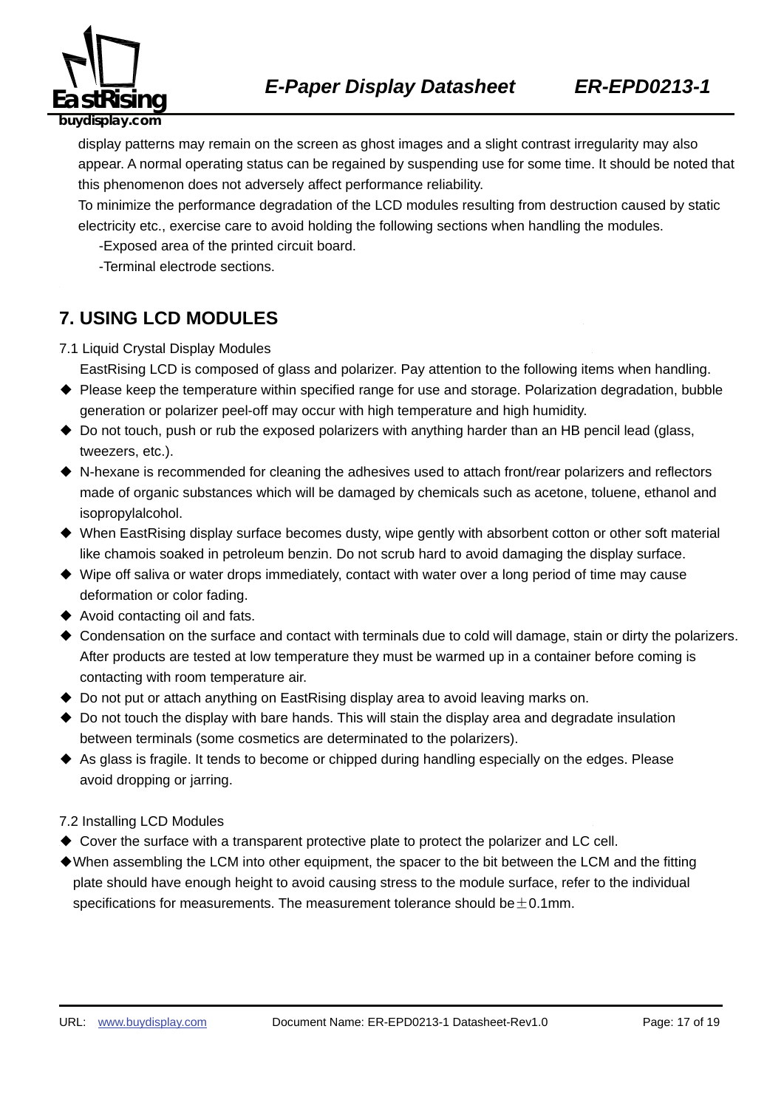

display patterns may remain on the screen as ghost images and a slight contrast irregularity may also appear. A normal operating status can be regained by suspending use for some time. It should be noted that this phenomenon does not adversely affect performance reliability.

To minimize the performance degradation of the LCD modules resulting from destruction caused by static electricity etc., exercise care to avoid holding the following sections when handling the modules.

-Exposed area of the printed circuit board.

-Terminal electrode sections.

### **7. USING LCD MODULES**

- 7.1 Liquid Crystal Display Modules
	- EastRising LCD is composed of glass and polarizer. Pay attention to the following items when handling.
- ◆ Please keep the temperature within specified range for use and storage. Polarization degradation, bubble generation or polarizer peel-off may occur with high temperature and high humidity.
- ◆ Do not touch, push or rub the exposed polarizers with anything harder than an HB pencil lead (glass, tweezers, etc.).
- ◆ N-hexane is recommended for cleaning the adhesives used to attach front/rear polarizers and reflectors made of organic substances which will be damaged by chemicals such as acetone, toluene, ethanol and isopropylalcohol.
- ◆ When EastRising display surface becomes dusty, wipe gently with absorbent cotton or other soft material like chamois soaked in petroleum benzin. Do not scrub hard to avoid damaging the display surface.
- ◆ Wipe off saliva or water drops immediately, contact with water over a long period of time may cause deformation or color fading.
- ◆ Avoid contacting oil and fats.
- ◆ Condensation on the surface and contact with terminals due to cold will damage, stain or dirty the polarizers. After products are tested at low temperature they must be warmed up in a container before coming is contacting with room temperature air.
- ◆ Do not put or attach anything on EastRising display area to avoid leaving marks on.
- ◆ Do not touch the display with bare hands. This will stain the display area and degradate insulation between terminals (some cosmetics are determinated to the polarizers).
- ◆ As glass is fragile. It tends to become or chipped during handling especially on the edges. Please avoid dropping or jarring.

#### 7.2 Installing LCD Modules

- ◆ Cover the surface with a transparent protective plate to protect the polarizer and LC cell.
- ◆When assembling the LCM into other equipment, the spacer to the bit between the LCM and the fitting plate should have enough height to avoid causing stress to the module surface, refer to the individual specifications for measurements. The measurement tolerance should be  $\pm$  0.1mm.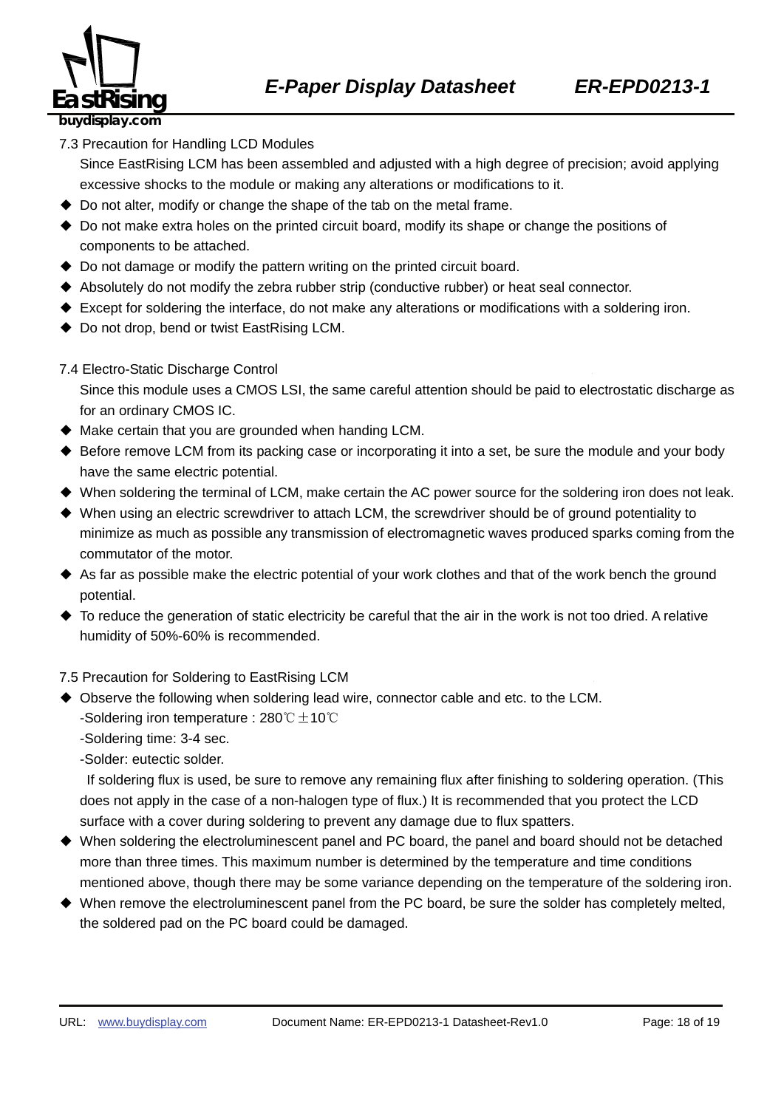

7.3 Precaution for Handling LCD Modules

Since EastRising LCM has been assembled and adjusted with a high degree of precision; avoid applying excessive shocks to the module or making any alterations or modifications to it.

- ◆ Do not alter, modify or change the shape of the tab on the metal frame.
- ◆ Do not make extra holes on the printed circuit board, modify its shape or change the positions of components to be attached.
- ◆ Do not damage or modify the pattern writing on the printed circuit board.
- ◆ Absolutely do not modify the zebra rubber strip (conductive rubber) or heat seal connector.
- ◆ Except for soldering the interface, do not make any alterations or modifications with a soldering iron.
- ◆ Do not drop, bend or twist EastRising LCM.
- 7.4 Electro-Static Discharge Control

Since this module uses a CMOS LSI, the same careful attention should be paid to electrostatic discharge as for an ordinary CMOS IC.

- $\blacklozenge$  Make certain that you are grounded when handing LCM.
- ◆ Before remove LCM from its packing case or incorporating it into a set, be sure the module and your body have the same electric potential.
- ◆ When soldering the terminal of LCM, make certain the AC power source for the soldering iron does not leak.
- ◆ When using an electric screwdriver to attach LCM, the screwdriver should be of ground potentiality to minimize as much as possible any transmission of electromagnetic waves produced sparks coming from the commutator of the motor.
- ◆ As far as possible make the electric potential of your work clothes and that of the work bench the ground potential.
- $\blacklozenge$  To reduce the generation of static electricity be careful that the air in the work is not too dried. A relative humidity of 50%-60% is recommended.

7.5 Precaution for Soldering to EastRising LCM

- ◆ Observe the following when soldering lead wire, connector cable and etc. to the LCM. -Soldering iron temperature : 280℃ $±$ 10℃
	- -Soldering time: 3-4 sec.

-Solder: eutectic solder.

If soldering flux is used, be sure to remove any remaining flux after finishing to soldering operation. (This does not apply in the case of a non-halogen type of flux.) It is recommended that you protect the LCD surface with a cover during soldering to prevent any damage due to flux spatters.

- ◆ When soldering the electroluminescent panel and PC board, the panel and board should not be detached more than three times. This maximum number is determined by the temperature and time conditions mentioned above, though there may be some variance depending on the temperature of the soldering iron.
- ◆ When remove the electroluminescent panel from the PC board, be sure the solder has completely melted, the soldered pad on the PC board could be damaged.